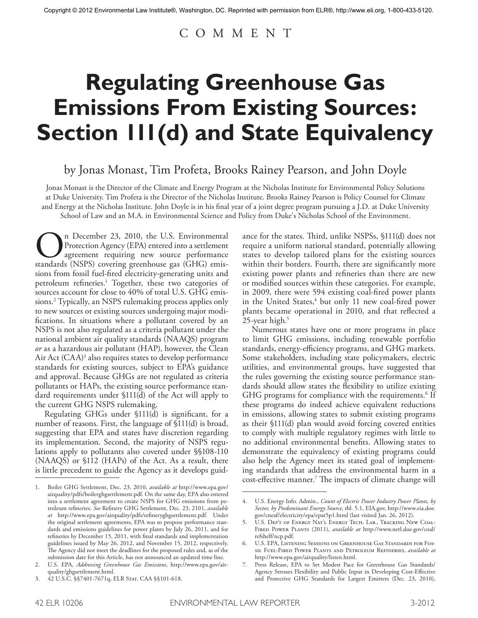# C O M M E N T

# **Regulating Greenhouse Gas Emissions From Existing Sources: Section 111(d) and State Equivalency**

# by Jonas Monast, Tim Profeta, Brooks Rainey Pearson, and John Doyle

Jonas Monast is the Director of the Climate and Energy Program at the Nicholas Institute for Environmental Policy Solutions at Duke University. Tim Profeta is the Director of the Nicholas Institute. Brooks Rainey Pearson is Policy Counsel for Climate and Energy at the Nicholas Institute. John Doyle is in his final year of a joint degree program pursuing a J.D. at Duke University School of Law and an M.A. in Environmental Science and Policy from Duke's Nicholas School of the Environment.

**On** December 23, 2010, the U.S. Environmental<br>Protection Agency (EPA) entered into a settlement<br>agreement requiring new source performance<br>standards (NSPS) covering greenhouse gas (GHG) emis-Protection Agency (EPA) entered into a settlement agreement requiring new source performance sions from fossil fuel-fired electricity-generating units and petroleum refineries. <sup>1</sup> Together, these two categories of sources account for close to 40% of total U.S. GHG emissions. <sup>2</sup> Typically, an NSPS rulemaking process applies only to new sources or existing sources undergoing major modifications. In situations where a pollutant covered by an NSPS is not also regulated as a criteria pollutant under the national ambient air quality standards (NAAQS) program *or* as a hazardous air pollutant (HAP), however, the Clean Air Act  $(CAA)^3$  also requires states to develop performance standards for existing sources, subject to EPA's guidance and approval. Because GHGs are not regulated as criteria pollutants or HAPs, the existing source performance standard requirements under §111(d) of the Act will apply to the current GHG NSPS rulemaking.

Regulating GHGs under §111(d) is significant, for a number of reasons. First, the language of  $$111(d)$  is broad, suggesting that EPA and states have discretion regarding its implementation. Second, the majority of NSPS regulations apply to pollutants also covered under §§108-110 (NAAQS) or §112 (HAPs) of the Act. As a result, there is little precedent to guide the Agency as it develops guidance for the states. Third, unlike NSPSs, §111(d) does not require a uniform national standard, potentially allowing states to develop tailored plans for the existing sources within their borders. Fourth, there are significantly more existing power plants and refineries than there are new or modified sources within these categories. For example, in 2009, there were 594 existing coal-fired power plants in the United States, $4$  but only 11 new coal-fired power plants became operational in 2010, and that reflected a 25-year high. 5

Numerous states have one or more programs in place to limit GHG emissions, including renewable portfolio standards, energy-efficiency programs, and GHG markets. Some stakeholders, including state policymakers, electric utilities, and environmental groups, have suggested that the rules governing the existing source performance standards should allow states the flexibility to utilize existing GHG programs for compliance with the requirements. <sup>6</sup> If these programs do indeed achieve equivalent reductions in emissions, allowing states to submit existing programs as their §111(d) plan would avoid forcing covered entities to comply with multiple regulatory regimes with little to no additional environmental benefits. Allowing states to demonstrate the equivalency of existing programs could also help the Agency meet its stated goal of implementing standards that address the environmental harm in a cost-effective manner. <sup>7</sup> The impacts of climate change will

<sup>1.</sup> Boiler GHG Settlement, Dec. 23, 2010, *available at* http://www.epa.gov/ airquality/pdfs/boilerghgsettlement.pdf. On the same day, EPA also entered into a settlement agreement to create NSPS for GHG emissions from petroleum refineries. *See* Refinery GHG Settlement, Dec. 23, 2101, *available at* http://www.epa.gov/airquality/pdfs/refineryghgsettlement.pdf. Under the original settlement agreements, EPA was to propose performance standards and emissions guidelines for power plants by July 26, 2011, and for refineries by December 15, 2011, with final standards and implementation guidelines issued by May 26, 2012, and November 15, 2012, respectively. The Agency did not meet the deadlines for the proposed rules and, as of the submission date for this Article, has not announced an updated time line.

<sup>2.</sup> U.S. EPA, *Addressing Greenhouse Gas Emissions*, http://www.epa.gov/airquality/ghgsettlement.html.

<sup>3. 42</sup> U.S.C. §§7401-7671q, ELR Stat. CAA §§101-618.

<sup>4.</sup> U.S. Energy Info. Admin., *Count of Electric Power Industry Power Plants, by Sector, by Predominant Energy Source*, tbl. 5.1, EIA.gov, http://www.eia.doe. gov/cneaf/electricity/epa/epat5p1.html (last visited Jan. 26, 2012).

U.S. DEP'T OF ENERGY NAT'L ENERGY TECH. LAB., TRACKING NEW COAL-Fired Power Plants (2011), *available at* http://www.netl.doe.gov/coal/ refshelf/ncp.pdf.

U.S. EPA, LISTENING SESSIONS ON GREENHOUSE GAS STANDARDS FOR FOSsil Fuel-Fired Power Plants and Petroleum Refineries, *available at* http://www.epa.gov/airquality/listen.html.

<sup>7.</sup> Press Release, EPA to Set Modest Pace for Greenhouse Gas Standards/ Agency Stresses Flexibility and Public Input in Developing Cost-Effective and Protective GHG Standards for Largest Emitters (Dec. 23, 2010),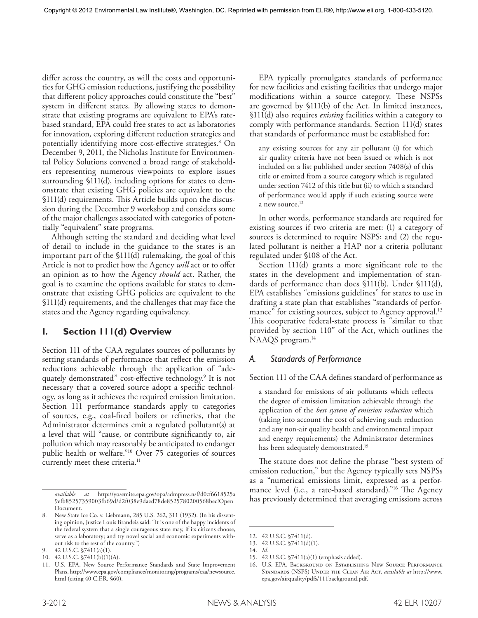differ across the country, as will the costs and opportunities for GHG emission reductions, justifying the possibility that different policy approaches could constitute the "best" system in different states. By allowing states to demonstrate that existing programs are equivalent to EPA's ratebased standard, EPA could free states to act as laboratories for innovation, exploring different reduction strategies and potentially identifying more cost-effective strategies. <sup>8</sup> On December 9, 2011, the Nicholas Institute for Environmental Policy Solutions convened a broad range of stakeholders representing numerous viewpoints to explore issues surrounding §111(d), including options for states to demonstrate that existing GHG policies are equivalent to the §111(d) requirements. This Article builds upon the discussion during the December 9 workshop and considers some of the major challenges associated with categories of potentially "equivalent" state programs.

Although setting the standard and deciding what level of detail to include in the guidance to the states is an important part of the §111(d) rulemaking, the goal of this Article is not to predict how the Agency *will* act or to offer an opinion as to how the Agency *should* act. Rather, the goal is to examine the options available for states to demonstrate that existing GHG policies are equivalent to the §111(d) requirements, and the challenges that may face the states and the Agency regarding equivalency.

# **I. Section 111(d) Overview**

Section 111 of the CAA regulates sources of pollutants by setting standards of performance that reflect the emission reductions achievable through the application of "adequately demonstrated" cost-effective technology. <sup>9</sup> It is not necessary that a covered source adopt a specific technology, as long as it achieves the required emission limitation. Section 111 performance standards apply to categories of sources, e.g., coal-fired boilers or refineries, that the Administrator determines emit a regulated pollutant(s) at a level that will "cause, or contribute significantly to, air pollution which may reasonably be anticipated to endanger public health or welfare."10 Over 75 categories of sources currently meet these criteria. 11

EPA typically promulgates standards of performance for new facilities and existing facilities that undergo major modifications within a source category. These NSPSs are governed by §111(b) of the Act. In limited instances, §111(d) also requires *existing* facilities within a category to comply with performance standards. Section 111(d) states that standards of performance must be established for:

any existing sources for any air pollutant (i) for which air quality criteria have not been issued or which is not included on a list published under section 7408(a) of this title or emitted from a source category which is regulated under section 7412 of this title but (ii) to which a standard of performance would apply if such existing source were a new source. 12

In other words, performance standards are required for existing sources if two criteria are met: (1) a category of sources is determined to require NSPS; and (2) the regulated pollutant is neither a HAP nor a criteria pollutant regulated under §108 of the Act.

Section 111(d) grants a more significant role to the states in the development and implementation of standards of performance than does §111(b). Under §111(d), EPA establishes "emissions guidelines" for states to use in drafting a state plan that establishes "standards of performance" for existing sources, subject to Agency approval. 13 This cooperative federal-state process is "similar to that provided by section 110" of the Act, which outlines the NAAQS program. 14

# *A. Standards of Performance*

Section 111 of the CAA defines standard of performance as

a standard for emissions of air pollutants which reflects the degree of emission limitation achievable through the application of the *best system of emission reduction* which (taking into account the cost of achieving such reduction and any non-air quality health and environmental impact and energy requirements) the Administrator determines has been adequately demonstrated. 15

The statute does not define the phrase "best system of emission reduction," but the Agency typically sets NSPSs as a "numerical emissions limit, expressed as a performance level (i.e., a rate-based standard)."16 The Agency has previously determined that averaging emissions across

*available at* http://yosemite.epa.gov/opa/admpress.nsf/d0cf6618525a 9efb85257359003fb69d/d2f038e9daed78de8525780200568bec!Open Document.

<sup>8.</sup> New State Ice Co. v. Liebmann, 285 U.S. 262, 311 (1932). (In his dissenting opinion, Justice Louis Brandeis said: "It is one of the happy incidents of the federal system that a single courageous state may, if its citizens choose, serve as a laboratory; and try novel social and economic experiments without risk to the rest of the country.")

<sup>42</sup> U.S.C. §7411(a)(1).

<sup>10.</sup> 42 U.S.C. §7411(b)(1)(A).

<sup>11.</sup> U.S. EPA, New Source Performance Standards and State Improvement Plans, http://www.epa.gov/compliance/monitoring/programs/caa/newsource. html (citing 40 C.F.R. §60).

<sup>12.</sup> 42 U.S.C. §7411(d).

<sup>13.</sup> 42 U.S.C. §7411(d)(1).

<sup>14.</sup> *Id.*

<sup>15.</sup> 42 U.S.C. §7411(a)(1) (emphasis added).

<sup>16.</sup> U.S. EPA, Background on Establishing New Source Performance Standards (NSPS) Under the Clean Air Act, *available at* http://www. epa.gov/airquality/pdfs/111background.pdf.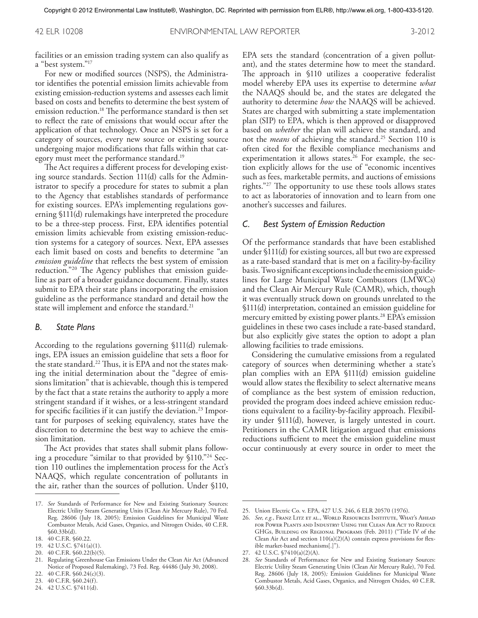facilities or an emission trading system can also qualify as a "best system."17

For new or modified sources (NSPS), the Administrator identifies the potential emission limits achievable from existing emission-reduction systems and assesses each limit based on costs and benefits to determine the best system of emission reduction. <sup>18</sup> The performance standard is then set to reflect the rate of emissions that would occur after the application of that technology. Once an NSPS is set for a category of sources, every new source or existing source undergoing major modifications that falls within that category must meet the performance standard. 19

The Act requires a different process for developing existing source standards. Section 111(d) calls for the Administrator to specify a procedure for states to submit a plan to the Agency that establishes standards of performance for existing sources. EPA's implementing regulations governing §111(d) rulemakings have interpreted the procedure to be a three-step process. First, EPA identifies potential emission limits achievable from existing emission-reduction systems for a category of sources. Next, EPA assesses each limit based on costs and benefits to determine "an *emission guideline* that reflects the best system of emission reduction."20 The Agency publishes that emission guideline as part of a broader guidance document. Finally, states submit to EPA their state plans incorporating the emission guideline as the performance standard and detail how the state will implement and enforce the standard. 21

#### *B. State Plans*

According to the regulations governing §111(d) rulemakings, EPA issues an emission guideline that sets a floor for the state standard. <sup>22</sup> Thus, it is EPA and not the states making the initial determination about the "degree of emissions limitation" that is achievable, though this is tempered by the fact that a state retains the authority to apply a more stringent standard if it wishes, or a less-stringent standard for specific facilities if it can justify the deviation. <sup>23</sup> Important for purposes of seeking equivalency, states have the discretion to determine the best way to achieve the emission limitation.

The Act provides that states shall submit plans following a procedure "similar to that provided by §110."24 Section 110 outlines the implementation process for the Act's NAAQS, which regulate concentration of pollutants in the air, rather than the sources of pollution. Under §110,

- 22. 40 C.F.R. §60.24(c)(3).
- 23. 40 C.F.R. §60.24(f).

EPA sets the standard (concentration of a given pollutant), and the states determine how to meet the standard. The approach in §110 utilizes a cooperative federalist model whereby EPA uses its expertise to determine *what* the NAAQS should be, and the states are delegated the authority to determine *how* the NAAQS will be achieved. States are charged with submitting a state implementation plan (SIP) to EPA, which is then approved or disapproved based on *whether* the plan will achieve the standard, and not the *means* of achieving the standard. <sup>25</sup> Section 110 is often cited for the flexible compliance mechanisms and experimentation it allows states. <sup>26</sup> For example, the section explicitly allows for the use of "economic incentives such as fees, marketable permits, and auctions of emissions rights."27 The opportunity to use these tools allows states to act as laboratories of innovation and to learn from one another's successes and failures.

#### *C. Best System of Emission Reduction*

Of the performance standards that have been established under §111(d) for existing sources, all but two are expressed as a rate-based standard that is met on a facility-by-facility basis. Two significant exceptions include the emission guidelines for Large Municipal Waste Combustors (LMWCs) and the Clean Air Mercury Rule (CAMR), which, though it was eventually struck down on grounds unrelated to the §111(d) interpretation, contained an emission guideline for mercury emitted by existing power plants. <sup>28</sup> EPA's emission guidelines in these two cases include a rate-based standard, but also explicitly give states the option to adopt a plan allowing facilities to trade emissions.

Considering the cumulative emissions from a regulated category of sources when determining whether a state's plan complies with an EPA §111(d) emission guideline would allow states the flexibility to select alternative means of compliance as the best system of emission reduction, provided the program does indeed achieve emission reductions equivalent to a facility-by-facility approach. Flexibility under §111(d), however, is largely untested in court. Petitioners in the CAMR litigation argued that emissions reductions sufficient to meet the emission guideline must occur continuously at every source in order to meet the

<sup>17.</sup> *See* Standards of Performance for New and Existing Stationary Sources: Electric Utility Steam Generating Units (Clean Air Mercury Rule), 70 Fed. Reg. 28606 (July 18, 2005)*;* Emission Guidelines for Municipal Waste Combustor Metals, Acid Gases, Organics, and Nitrogen Oxides, 40 C.F.R. §60.33b(d).

<sup>18.</sup> 40 C.F.R. §60.22.

<sup>19.</sup> 42 U.S.C. §741(a)(1).

<sup>20.</sup> 40 C.F.R. §60.22(b)(5).

<sup>21.</sup> Regulating Greenhouse Gas Emissions Under the Clean Air Act (Advanced Notice of Proposed Rulemaking), 73 Fed. Reg. 44486 (July 30, 2008).

<sup>24.</sup> 42 U.S.C. §7411(d).

<sup>25.</sup> Union Electric Co. v. EPA, 427 U.S. 246, 6 ELR 20570 (1976).

<sup>26.</sup> *See, e.g.*, Franz Litz et al., World Resources Institute, What's Ahead for Power Plants and Industry? Using the Clean Air Act to Reduce GHGs, Building on Regional Programs (Feb. 2011) ("Title IV of the Clean Air Act and section  $110(a)(2)(A)$  contain express provisions for flexible market-based mechanisms[.]").

<sup>27.</sup> 42 U.S.C. §7410(a)(2)(A).

<sup>28.</sup> *See* Standards of Performance for New and Existing Stationary Sources: Electric Utility Steam Generating Units (Clean Air Mercury Rule), 70 Fed. Reg. 28606 (July 18, 2005)*;* Emission Guidelines for Municipal Waste Combustor Metals, Acid Gases, Organics, and Nitrogen Oxides, 40 C.F.R. §60.33b(d).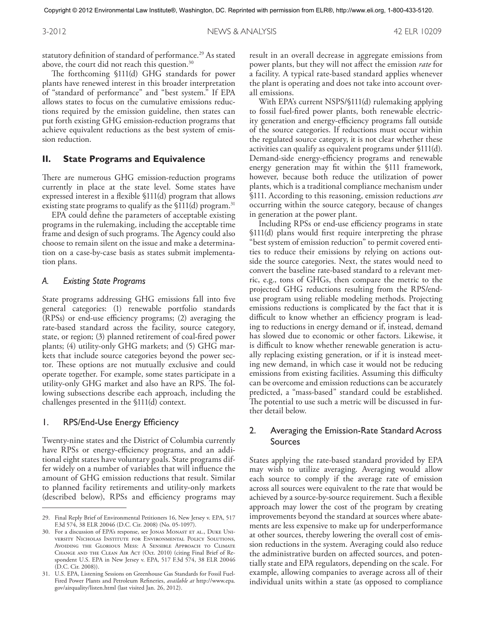3-2012 NEWS & ANALYSIS 42 ELR 10209

statutory definition of standard of performance. <sup>29</sup> As stated above, the court did not reach this question. $^{\rm 30}$ 

The forthcoming §111(d) GHG standards for power plants have renewed interest in this broader interpretation of "standard of performance" and "best system." If EPA allows states to focus on the cumulative emissions reductions required by the emission guideline, then states can put forth existing GHG emission-reduction programs that achieve equivalent reductions as the best system of emission reduction.

## **II. State Programs and Equivalence**

There are numerous GHG emission-reduction programs currently in place at the state level. Some states have expressed interest in a flexible §111(d) program that allows existing state programs to qualify as the §111(d) program. 31

EPA could define the parameters of acceptable existing programs in the rulemaking, including the acceptable time frame and design of such programs. The Agency could also choose to remain silent on the issue and make a determination on a case-by-case basis as states submit implementation plans.

#### *A. Existing State Programs*

State programs addressing GHG emissions fall into five general categories: (1) renewable portfolio standards (RPSs) or end-use efficiency programs; (2) averaging the rate-based standard across the facility, source category, state, or region; (3) planned retirement of coal-fired power plants; (4) utility-only GHG markets; and (5) GHG markets that include source categories beyond the power sector. These options are not mutually exclusive and could operate together. For example, some states participate in a utility-only GHG market and also have an RPS. The following subsections describe each approach, including the challenges presented in the §111(d) context.

#### 1. RPS/End-Use Energy Efficiency

Twenty-nine states and the District of Columbia currently have RPSs or energy-efficiency programs, and an additional eight states have voluntary goals. State programs differ widely on a number of variables that will influence the amount of GHG emission reductions that result. Similar to planned facility retirements and utility-only markets (described below), RPSs and efficiency programs may

result in an overall decrease in aggregate emissions from power plants, but they will not affect the emission *rate* for a facility. A typical rate-based standard applies whenever the plant is operating and does not take into account overall emissions.

With EPA's current NSPS/§111(d) rulemaking applying to fossil fuel-fired power plants, both renewable electricity generation and energy-efficiency programs fall outside of the source categories. If reductions must occur within the regulated source category, it is not clear whether these activities can qualify as equivalent programs under §111(d). Demand-side energy-efficiency programs and renewable energy generation may fit within the §111 framework, however, because both reduce the utilization of power plants, which is a traditional compliance mechanism under §111. According to this reasoning, emission reductions *are* occurring within the source category, because of changes in generation at the power plant.

Including RPSs or end-use efficiency programs in state §111(d) plans would first require interpreting the phrase "best system of emission reduction" to permit covered entities to reduce their emissions by relying on actions outside the source categories. Next, the states would need to convert the baseline rate-based standard to a relevant metric, e.g., tons of GHGs, then compare the metric to the projected GHG reductions resulting from the RPS/enduse program using reliable modeling methods. Projecting emissions reductions is complicated by the fact that it is difficult to know whether an efficiency program is leading to reductions in energy demand or if, instead, demand has slowed due to economic or other factors. Likewise, it is difficult to know whether renewable generation is actually replacing existing generation, or if it is instead meeting new demand, in which case it would not be reducing emissions from existing facilities. Assuming this difficulty can be overcome and emission reductions can be accurately predicted, a "mass-based" standard could be established. The potential to use such a metric will be discussed in further detail below.

# 2. Averaging the Emission-Rate Standard Across Sources

States applying the rate-based standard provided by EPA may wish to utilize averaging. Averaging would allow each source to comply if the average rate of emission across all sources were equivalent to the rate that would be achieved by a source-by-source requirement. Such a flexible approach may lower the cost of the program by creating improvements beyond the standard at sources where abatements are less expensive to make up for underperformance at other sources, thereby lowering the overall cost of emission reductions in the system. Averaging could also reduce the administrative burden on affected sources, and potentially state and EPA regulators, depending on the scale. For example, allowing companies to average across all of their individual units within a state (as opposed to compliance

<sup>29.</sup> Final Reply Brief of Environmental Petitioners 16, New Jersey v. EPA, 517 F.3d 574, 38 ELR 20046 (D.C. Cir. 2008) (No. 05-1097).

<sup>30.</sup> For a discussion of EPA's response, see JONAS MONAST ET AL., DUKE UNIversity Nicholas Institute for Environmental Policy Solutions, Avoiding the Glorious Mess: A Sensible Approach to Climate Change and the Clean Air Act (Oct. 2010) (citing Final Brief of Respondent U.S. EPA in New Jersey v. EPA, 517 F.3d 574, 38 ELR 20046 (D.C. Cir. 2008)).

<sup>31.</sup> U.S. EPA, Listening Sessions on Greenhouse Gas Standards for Fossil Fuel-Fired Power Plants and Petroleum Refineries, *available at* http://www.epa. gov/airquality/listen.html (last visited Jan. 26, 2012).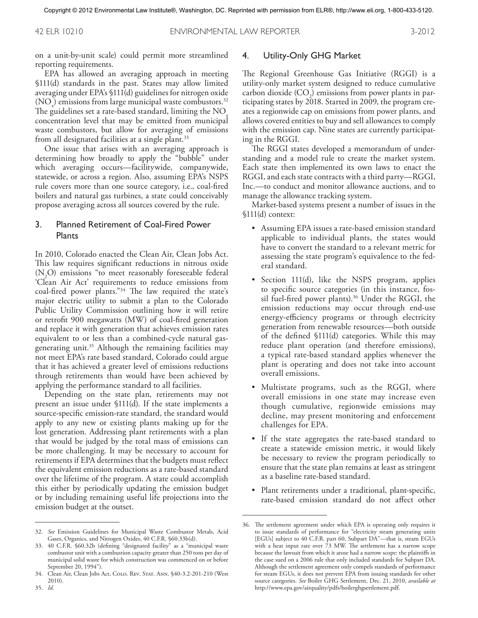42 ELR 10210 ENVIRONMENTAL LAW REPORTER 3-2012

on a unit-by-unit scale) could permit more streamlined reporting requirements.

EPA has allowed an averaging approach in meeting §111(d) standards in the past. States may allow limited averaging under EPA's §111(d) guidelines for nitrogen oxide  $({\rm NO}_x)$  emissions from large municipal waste combustors.<sup>32</sup> The guidelines set a rate-based standard, limiting the  $\rm NO_{10}$ concentration level that may be emitted from municipal waste combustors, but allow for averaging of emissions from all designated facilities at a single plant. 33

One issue that arises with an averaging approach is determining how broadly to apply the "bubble" under which averaging occurs—facilitywide, companywide, statewide, or across a region. Also, assuming EPA's NSPS rule covers more than one source category, i.e., coal-fired boilers and natural gas turbines, a state could conceivably propose averaging across all sources covered by the rule.

# 3. Planned Retirement of Coal-Fired Power Plants

In 2010, Colorado enacted the Clean Air, Clean Jobs Act. This law requires significant reductions in nitrous oxide  $(N<sub>2</sub>O)$  emissions "to meet reasonably foreseeable federal 'Clean Air Act' requirements to reduce emissions from coal-fired power plants."34 The law required the state's major electric utility to submit a plan to the Colorado Public Utility Commission outlining how it will retire or retrofit 900 megawatts (MW) of coal-fired generation and replace it with generation that achieves emission rates equivalent to or less than a combined-cycle natural gasgenerating unit. <sup>35</sup> Although the remaining facilities may not meet EPA's rate based standard, Colorado could argue that it has achieved a greater level of emissions reductions through retirements than would have been achieved by applying the performance standard to all facilities.

Depending on the state plan, retirements may not present an issue under §111(d). If the state implements a source-specific emission-rate standard, the standard would apply to any new or existing plants making up for the lost generation. Addressing plant retirements with a plan that would be judged by the total mass of emissions can be more challenging. It may be necessary to account for retirements if EPA determines that the budgets must reflect the equivalent emission reductions as a rate-based standard over the lifetime of the program. A state could accomplish this either by periodically updating the emission budget or by including remaining useful life projections into the emission budget at the outset.

35. *Id.*

## 4. Utility-Only GHG Market

The Regional Greenhouse Gas Initiative (RGGI) is a utility-only market system designed to reduce cumulative carbon dioxide  $({\rm CO}_{2})$  emissions from power plants in participating states by 2018. Started in 2009, the program creates a regionwide cap on emissions from power plants, and allows covered entities to buy and sell allowances to comply with the emission cap. Nine states are currently participating in the RGGI.

The RGGI states developed a memorandum of understanding and a model rule to create the market system. Each state then implemented its own laws to enact the RGGI, and each state contracts with a third party—RGGI, Inc.—to conduct and monitor allowance auctions, and to manage the allowance tracking system.

Market-based systems present a number of issues in the §111(d) context:

- Assuming EPA issues a rate-based emission standard applicable to individual plants, the states would have to convert the standard to a relevant metric for assessing the state program's equivalence to the federal standard.
- Section 111(d), like the NSPS program, applies to specific source categories (in this instance, fossil fuel-fired power plants). <sup>36</sup> Under the RGGI, the emission reductions may occur through end-use energy-efficiency programs or through electricity generation from renewable resources—both outside of the defined §111(d) categories. While this may reduce plant operation (and therefore emissions), a typical rate-based standard applies whenever the plant is operating and does not take into account overall emissions.
- Multistate programs, such as the RGGI, where overall emissions in one state may increase even though cumulative, regionwide emissions may decline, may present monitoring and enforcement challenges for EPA.
- If the state aggregates the rate-based standard to create a statewide emission metric, it would likely be necessary to review the program periodically to ensure that the state plan remains at least as stringent as a baseline rate-based standard.
- Plant retirements under a traditional, plant-specific, rate-based emission standard do not affect other

<sup>32.</sup> *See* Emission Guidelines for Municipal Waste Combustor Metals, Acid Gases, Organics, and Nitrogen Oxides, 40 C.F.R. §60.33b(d).

<sup>33.</sup> 40 C.F.R. §60.32b (defining "designated facility" as a "municipal waste combustor unit with a combustion capacity greater than 250 tons per day of municipal solid waste for which construction was commenced on or before September 20, 1994").

<sup>34.</sup> Clean Air, Clean Jobs Act, Colo. Rev. Stat. Ann. §40-3.2-201-210 (West 2010).

<sup>36.</sup> The settlement agreement under which EPA is operating only requires it to issue standards of performance for "electricity steam generating units [EGUs] subject to 40 C.F.R. part 60, Subpart DA"—that is, steam EGUs with a heat input rate over  $73$  MW. The settlement has a narrow scope because the lawsuit from which it arose had a narrow scope: the plaintiffs in the case sued on a 2006 rule that only included standards for Subpart DA. Although the settlement agreement only compels standards of performance for steam EGUs, it does not prevent EPA from issuing standards for other source categories. *See* Boiler GHG Settlement, Dec. 21, 2010, *available at* http://www.epa.gov/airquality/pdfs/boilerghgsettlement.pdf.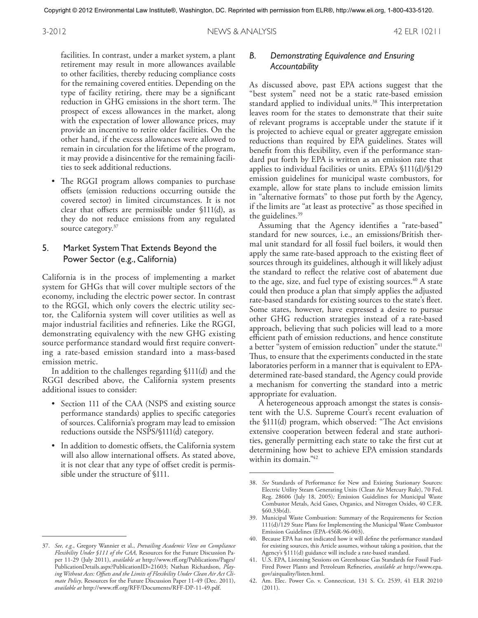3-2012 NEWS & ANALYSIS 42 ELR 10211

facilities. In contrast, under a market system, a plant retirement may result in more allowances available to other facilities, thereby reducing compliance costs for the remaining covered entities. Depending on the type of facility retiring, there may be a significant reduction in GHG emissions in the short term. The prospect of excess allowances in the market, along with the expectation of lower allowance prices, may provide an incentive to retire older facilities. On the other hand, if the excess allowances were allowed to remain in circulation for the lifetime of the program, it may provide a disincentive for the remaining facilities to seek additional reductions.

The RGGI program allows companies to purchase offsets (emission reductions occurring outside the covered sector) in limited circumstances. It is not clear that offsets are permissible under §111(d), as they do not reduce emissions from any regulated source category. 37

# 5. Market System That Extends Beyond the Power Sector (e.g., California)

California is in the process of implementing a market system for GHGs that will cover multiple sectors of the economy, including the electric power sector. In contrast to the RGGI, which only covers the electric utility sector, the California system will cover utilities as well as major industrial facilities and refineries. Like the RGGI, demonstrating equivalency with the new GHG existing source performance standard would first require converting a rate-based emission standard into a mass-based emission metric.

In addition to the challenges regarding §111(d) and the RGGI described above, the California system presents additional issues to consider:

- Section 111 of the CAA (NSPS and existing source performance standards) applies to specific categories of sources. California's program may lead to emission reductions outside the NSPS/§111(d) category.
- In addition to domestic offsets, the California system will also allow international offsets. As stated above, it is not clear that any type of offset credit is permissible under the structure of §111.

# *B. Demonstrating Equivalence and Ensuring Accountability*

As discussed above, past EPA actions suggest that the "best system" need not be a static rate-based emission standard applied to individual units. <sup>38</sup> This interpretation leaves room for the states to demonstrate that their suite of relevant programs is acceptable under the statute if it is projected to achieve equal or greater aggregate emission reductions than required by EPA guidelines. States will benefit from this flexibility, even if the performance standard put forth by EPA is written as an emission rate that applies to individual facilities or units. EPA's §111(d)/§129 emission guidelines for municipal waste combustors, for example, allow for state plans to include emission limits in "alternative formats" to those put forth by the Agency, if the limits are "at least as protective" as those specified in the guidelines. 39

Assuming that the Agency identifies a "rate-based" standard for new sources, i.e., an emissions/British thermal unit standard for all fossil fuel boilers, it would then apply the same rate-based approach to the existing fleet of sources through its guidelines, although it will likely adjust the standard to reflect the relative cost of abatement due to the age, size, and fuel type of existing sources. <sup>40</sup> A state could then produce a plan that simply applies the adjusted rate-based standards for existing sources to the state's fleet. Some states, however, have expressed a desire to pursue other GHG reduction strategies instead of a rate-based approach, believing that such policies will lead to a more efficient path of emission reductions, and hence constitute a better "system of emission reduction" under the statute.<sup>41</sup> Thus, to ensure that the experiments conducted in the state laboratories perform in a manner that is equivalent to EPAdetermined rate-based standard, the Agency could provide a mechanism for converting the standard into a metric appropriate for evaluation.

A heterogeneous approach amongst the states is consistent with the U.S. Supreme Court's recent evaluation of the §111(d) program, which observed: "The Act envisions extensive cooperation between federal and state authorities, generally permitting each state to take the first cut at determining how best to achieve EPA emission standards within its domain." 42

<sup>37.</sup> *See, e.g.*, Gregory Wannier et al., *Prevailing Academic View on Compliance Flexibility Under §111 of the CAA,* Resources for the Future Discussion Paper 11-29 (July 2011), *available at* http://www.rff.org/Publications/Pages/ PublicationDetails.aspx?PublicationID=21603; Nathan Richardson, *Playing Without Aces: Offsets and the Limits of Flexibility Under Clean Air Act Climate Policy*, Resources for the Future Discussion Paper 11-49 (Dec. 2011), *available at* http://www.rff.org/RFF/Documents/RFF-DP-11-49.pdf.

<sup>38.</sup> *See* Standards of Performance for New and Existing Stationary Sources: Electric Utility Steam Generating Units (Clean Air Mercury Rule), 70 Fed. Reg. 28606 (July 18, 2005)*;* Emission Guidelines for Municipal Waste Combustor Metals, Acid Gases, Organics, and Nitrogen Oxides, 40 C.F.R.  $$60.33b(d).$ 

<sup>39.</sup> Municipal Waste Combustion: Summary of the Requirements for Section 111(d)/129 State Plans for Implementing the Municipal Waste Combustor Emission Guidelines (EPA-456R-96-003).

<sup>40.</sup> Because EPA has not indicated how it will define the performance standard for existing sources, this Article assumes, without taking a position, that the Agency's §111(d) guidance will include a rate-based standard.

<sup>41.</sup> U.S. EPA, Listening Sessions on Greenhouse Gas Standards for Fossil Fuel-Fired Power Plants and Petroleum Refineries, *available at* http://www.epa. gov/airquality/listen.html.

<sup>42.</sup> Am. Elec. Power Co. v. Connecticut, 131 S. Ct. 2539, 41 ELR 20210 (2011).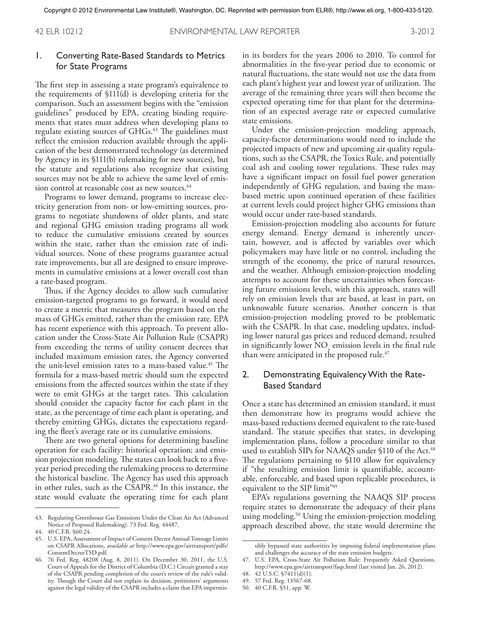# 1. Converting Rate-Based Standards to Metrics for State Programs

The first step in assessing a state program's equivalence to the requirements of §111(d) is developing criteria for the comparison. Such an assessment begins with the "emission guidelines" produced by EPA, creating binding requirements that states must address when developing plans to regulate existing sources of GHGs. <sup>43</sup> The guidelines must reflect the emission reduction available through the application of the best demonstrated technology (as determined by Agency in its §111(b) rulemaking for new sources), but the statute and regulations also recognize that existing sources may not be able to achieve the same level of emission control at reasonable cost as new sources. 44

Programs to lower demand, programs to increase electricity generation from non- or low-emitting sources, programs to negotiate shutdowns of older plants, and state and regional GHG emission trading programs all work to reduce the cumulative emissions created by sources within the state, rather than the emission rate of individual sources. None of these programs guarantee actual rate improvements, but all are designed to ensure improvements in cumulative emissions at a lower overall cost than a rate-based program.

Thus, if the Agency decides to allow such cumulative emission-targeted programs to go forward, it would need to create a metric that measures the program based on the mass of GHGs emitted, rather than the emission rate. EPA has recent experience with this approach. To prevent allocation under the Cross-State Air Pollution Rule (CSAPR) from exceeding the terms of utility consent decrees that included maximum emission rates, the Agency converted the unit-level emission rates to a mass-based value. <sup>45</sup> The formula for a mass-based metric should sum the expected emissions from the affected sources within the state if they were to emit GHGs at the target rates. This calculation should consider the capacity factor for each plant in the state, as the percentage of time each plant is operating, and thereby emitting GHGs, dictates the expectations regarding the fleet's average rate or its cumulative emissions.

There are two general options for determining baseline operation for each facility: historical operation; and emission projection modeling. The states can look back to a fiveyear period preceding the rulemaking process to determine the historical baseline. The Agency has used this approach in other rules, such as the CSAPR. <sup>46</sup> In this instance, the state would evaluate the operating time for each plant in its borders for the years 2006 to 2010. To control for abnormalities in the five-year period due to economic or natural fluctuations, the state would not use the data from each plant's highest year and lowest year of utilization. The average of the remaining three years will then become the expected operating time for that plant for the determination of an expected average rate or expected cumulative state emissions.

Under the emission-projection modeling approach, capacity-factor determinations would need to include the projected impacts of new and upcoming air quality regulations, such as the CSAPR, the Toxics Rule, and potentially coal ash and cooling tower regulations. These rules may have a significant impact on fossil fuel power generation independently of GHG regulation, and basing the massbased metric upon continued operation of these facilities at current levels could project higher GHG emissions than would occur under rate-based standards.

Emission-projection modeling also accounts for future energy demand. Energy demand is inherently uncertain, however, and is affected by variables over which policymakers may have little or no control, including the strength of the economy, the price of natural resources, and the weather. Although emission-projection modeling attempts to account for these uncertainties when forecasting future emissions levels, with this approach, states will rely on emission levels that are based, at least in part, on unknowable future scenarios. Another concern is that emission-projection modeling proved to be problematic with the CSAPR. In that case, modeling updates, including lower natural gas prices and reduced demand, resulted in significantly lower  $NO<sub>x</sub>$  emission levels in the final rule than were anticipated in the proposed rule. 47

# 2. Demonstrating Equivalency With the Rate-Based Standard

Once a state has determined an emission standard, it must then demonstrate how its programs would achieve the mass-based reductions deemed equivalent to the rate-based standard. The statute specifies that states, in developing implementation plans, follow a procedure similar to that used to establish SIPs for NAAQS under §110 of the Act. 48 The regulations pertaining to §110 allow for equivalency if "the resulting emission limit is quantifiable, accountable, enforceable, and based upon replicable procedures, is equivalent to the SIP limit"49

EPA's regulations governing the NAAQS SIP process require states to demonstrate the adequacy of their plans using modeling. <sup>50</sup> Using the emission-projection modeling approach described above, the state would determine the

50. 40 C.F.R. §51, app. W.

<sup>43.</sup> Regulating Greenhouse Gas Emissions Under the Clean Air Act (Advanced Notice of Proposed Rulemaking). 73 Fed. Reg. 44487.

<sup>44.</sup> 40 C.F.R. §60.24.

<sup>45.</sup> U.S. EPA, Assessment of Impact of Consent Decree AnnualTonnage Limits on CSAPR Allocations, *available at* http://www.epa.gov/airtransport/pdfs/ ConsentDecreeTSD.pdf.

<sup>46.</sup> 76 Fed. Reg. 48208 (Aug. 8, 2011). On December 30, 2011, the U.S. Court of Appeals for the District of Columbia (D.C.) Circuit granted a stay of the CSAPR pending completion of the court's review of the rule's validity. Though the Court did not explain its decision, petitioners' arguments against the legal validity of the CSAPR includes a claim that EPA impermis-

sibly bypassed state authorities by imposing federal implementation plans and challenges the accuracy of the state emission budgets.

<sup>47.</sup> U.S. EPA, Cross-State Air Pollution Rule: Frequently Asked Questions*,* http://www.epa.gov/airtransport/faqs.html (last visited Jan. 26, 2012).

<sup>48.</sup> 42 U.S.C. §7411(d)(1).

<sup>49.</sup> 57 Fed. Reg. 13567-68.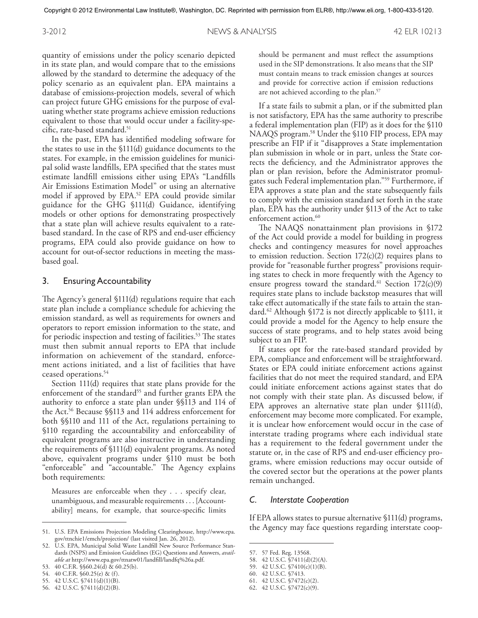3-2012 NEWS & ANALYSIS 42 ELR 10213

quantity of emissions under the policy scenario depicted in its state plan, and would compare that to the emissions allowed by the standard to determine the adequacy of the policy scenario as an equivalent plan. EPA maintains a database of emissions-projection models, several of which can project future GHG emissions for the purpose of evaluating whether state programs achieve emission reductions equivalent to those that would occur under a facility-specific, rate-based standard. 51

In the past, EPA has identified modeling software for the states to use in the §111(d) guidance documents to the states. For example, in the emission guidelines for municipal solid waste landfills, EPA specified that the states must estimate landfill emissions either using EPA's "Landfills Air Emissions Estimation Model" or using an alternative model if approved by EPA. <sup>52</sup> EPA could provide similar guidance for the GHG §111(d) Guidance, identifying models or other options for demonstrating prospectively that a state plan will achieve results equivalent to a ratebased standard. In the case of RPS and end-user efficiency programs, EPA could also provide guidance on how to account for out-of-sector reductions in meeting the massbased goal.

#### 3. Ensuring Accountability

The Agency's general §111(d) regulations require that each state plan include a compliance schedule for achieving the emission standard, as well as requirements for owners and operators to report emission information to the state, and for periodic inspection and testing of facilities. <sup>53</sup> The states must then submit annual reports to EPA that include information on achievement of the standard, enforcement actions initiated, and a list of facilities that have ceased operations. 54

Section 111(d) requires that state plans provide for the enforcement of the standard<sup>55</sup> and further grants EPA the authority to enforce a state plan under §§113 and 114 of the Act. <sup>56</sup> Because §§113 and 114 address enforcement for both §§110 and 111 of the Act, regulations pertaining to §110 regarding the accountability and enforceability of equivalent programs are also instructive in understanding the requirements of §111(d) equivalent programs. As noted above, equivalent programs under §110 must be both "enforceable" and "accountable." The Agency explains both requirements:

Measures are enforceable when they ... specify clear, unambiguous, and measurable requirements . . . [Accountability] means, for example, that source-specific limits

should be permanent and must reflect the assumptions used in the SIP demonstrations. It also means that the SIP must contain means to track emission changes at sources and provide for corrective action if emission reductions are not achieved according to the plan. 57

If a state fails to submit a plan, or if the submitted plan is not satisfactory, EPA has the same authority to prescribe a federal implementation plan (FIP) as it does for the §110 NAAQS program. <sup>58</sup> Under the §110 FIP process, EPA may prescribe an FIP if it "disapproves a State implementation plan submission in whole or in part, unless the State corrects the deficiency, and the Administrator approves the plan or plan revision, before the Administrator promulgates such Federal implementation plan."59 Furthermore, if EPA approves a state plan and the state subsequently fails to comply with the emission standard set forth in the state plan, EPA has the authority under §113 of the Act to take enforcement action. 60

The NAAQS nonattainment plan provisions in §172 of the Act could provide a model for building in progress checks and contingency measures for novel approaches to emission reduction. Section  $172(c)(2)$  requires plans to provide for "reasonable further progress" provisions requiring states to check in more frequently with the Agency to ensure progress toward the standard. <sup>61</sup> Section 172(c)(9) requires state plans to include backstop measures that will take effect automatically if the state fails to attain the standard. <sup>62</sup> Although §172 is not directly applicable to §111, it could provide a model for the Agency to help ensure the success of state programs, and to help states avoid being subject to an FIP.

If states opt for the rate-based standard provided by EPA, compliance and enforcement will be straightforward. States or EPA could initiate enforcement actions against facilities that do not meet the required standard, and EPA could initiate enforcement actions against states that do not comply with their state plan. As discussed below, if EPA approves an alternative state plan under §111(d), enforcement may become more complicated. For example, it is unclear how enforcement would occur in the case of interstate trading programs where each individual state has a requirement to the federal government under the statute or, in the case of RPS and end-user efficiency programs, where emission reductions may occur outside of the covered sector but the operations at the power plants remain unchanged.

#### *C. Interstate Cooperation*

If EPA allows states to pursue alternative §111(d) programs, the Agency may face questions regarding interstate coop-

<sup>51.</sup> U.S. EPA Emissions Projection Modeling Clearinghouse, http://www.epa. gov/ttnchie1/emch/projection/ (last visited Jan. 26, 2012).

<sup>52.</sup> U.S. EPA, Municipal Solid Waste Landfill New Source Performance Standards (NSPS) and Emission Guidelines (EG) Questions and Answers, *available at* http://www.epa.gov/ttnatw01/landfill/landfq%26a.pdf.

<sup>53.</sup> 40 C.F.R. §§60.24(d) & 60.25(b).

<sup>54.</sup> 40 C.F.R. §60.25(e) & (f ).

<sup>55.</sup> 42 U.S.C. §7411(d)(1)(B).

<sup>56.</sup> 42 U.S.C. §7411(d)(2)(B).

<sup>57.</sup> 57 Fed. Reg. 13568.

<sup>58.</sup> 42 U.S.C. §7411(d)(2)(A).

<sup>59.</sup> 42 U.S.C. §7410(c)(1)(B).

<sup>60.</sup> 42 U.S.C. §7413.

<sup>61.</sup> 42 U.S.C. §7472(c)(2).

<sup>62.</sup> 42 U.S.C. §7472(c)(9).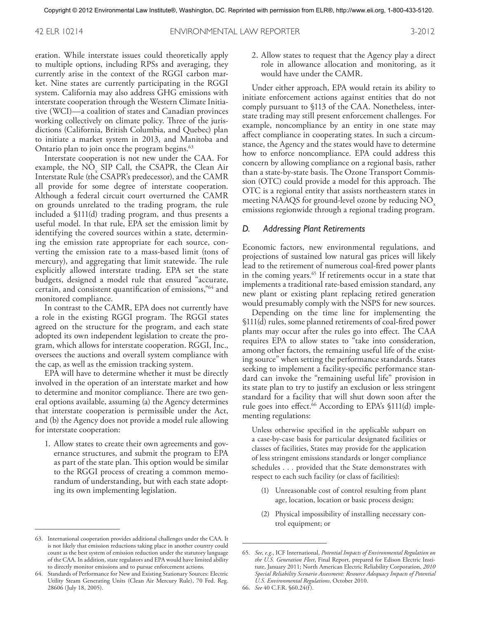eration. While interstate issues could theoretically apply to multiple options, including RPSs and averaging, they currently arise in the context of the RGGI carbon market. Nine states are currently participating in the RGGI system. California may also address GHG emissions with interstate cooperation through the Western Climate Initiative (WCI)—a coalition of states and Canadian provinces working collectively on climate policy. Three of the jurisdictions (California, British Columbia, and Quebec) plan to initiate a market system in 2013, and Manitoba and Ontario plan to join once the program begins. 63

Interstate cooperation is not new under the CAA. For example, the NO<sub>x</sub> SIP Call, the CSAPR, the Clean Air Interstate Rule (the CSAPR's predecessor), and the CAMR all provide for some degree of interstate cooperation. Although a federal circuit court overturned the CAMR on grounds unrelated to the trading program, the rule included a §111(d) trading program, and thus presents a useful model. In that rule, EPA set the emission limit by identifying the covered sources within a state, determining the emission rate appropriate for each source, converting the emission rate to a mass-based limit (tons of mercury), and aggregating that limit statewide. The rule explicitly allowed interstate trading. EPA set the state budgets, designed a model rule that ensured "accurate, certain, and consistent quantification of emissions,"64 and monitored compliance.

In contrast to the CAMR, EPA does not currently have a role in the existing RGGI program. The RGGI states agreed on the structure for the program, and each state adopted its own independent legislation to create the program, which allows for interstate cooperation. RGGI, Inc., oversees the auctions and overall system compliance with the cap, as well as the emission tracking system.

EPA will have to determine whether it must be directly involved in the operation of an interstate market and how to determine and monitor compliance. There are two general options available, assuming (a) the Agency determines that interstate cooperation is permissible under the Act, and (b) the Agency does not provide a model rule allowing for interstate cooperation:

1. Allow states to create their own agreements and governance structures, and submit the program to EPA as part of the state plan. This option would be similar to the RGGI process of creating a common memorandum of understanding, but with each state adopting its own implementing legislation.

2. Allow states to request that the Agency play a direct role in allowance allocation and monitoring, as it would have under the CAMR.

Under either approach, EPA would retain its ability to initiate enforcement actions against entities that do not comply pursuant to §113 of the CAA. Nonetheless, interstate trading may still present enforcement challenges. For example, noncompliance by an entity in one state may affect compliance in cooperating states. In such a circumstance, the Agency and the states would have to determine how to enforce noncompliance. EPA could address this concern by allowing compliance on a regional basis, rather than a state-by-state basis. The Ozone Transport Commission (OTC) could provide a model for this approach. The OTC is a regional entity that assists northeastern states in meeting NAAQS for ground-level ozone by reducing  $NO<sub>x</sub>$ emissions regionwide through a regional trading program.

#### *D. Addressing Plant Retirements*

Economic factors, new environmental regulations, and projections of sustained low natural gas prices will likely lead to the retirement of numerous coal-fired power plants in the coming years. <sup>65</sup> If retirements occur in a state that implements a traditional rate-based emission standard, any new plant or existing plant replacing retired generation would presumably comply with the NSPS for new sources.

Depending on the time line for implementing the §111(d) rules, some planned retirements of coal-fired power plants may occur after the rules go into effect. The CAA requires EPA to allow states to "take into consideration, among other factors, the remaining useful life of the existing source" when setting the performance standards. States seeking to implement a facility-specific performance standard can invoke the "remaining useful life" provision in its state plan to try to justify an exclusion or less stringent standard for a facility that will shut down soon after the rule goes into effect. <sup>66</sup> According to EPA's §111(d) implementing regulations:

Unless otherwise specified in the applicable subpart on a case-by-case basis for particular designated facilities or classes of facilities, States may provide for the application of less stringent emissions standards or longer compliance schedules ... provided that the State demonstrates with respect to each such facility (or class of facilities):

- (1) Unreasonable cost of control resulting from plant age, location, location or basic process design;
- (2) Physical impossibility of installing necessary control equipment; or

<sup>63.</sup> International cooperation provides additional challenges under the CAA. It is not likely that emission reductions taking place in another country could count as the best system of emission reduction under the statutory language of the CAA. In addition, state regulators and EPA would have limited ability to directly monitor emissions and to pursue enforcement actions.

<sup>64.</sup> Standards of Performance for New and Existing Stationary Sources: Electric Utility Steam Generating Units (Clean Air Mercury Rule), 70 Fed. Reg. 28606 (July 18, 2005).

<sup>65.</sup> *See, e.g*., ICF International, *Potential Impacts of Environmental Regulation on the U.S. Generation Fleet*, Final Report, prepared for Edison Electric Institute, January 2011; North American Electric Reliability Corporation, *2010 Special Reliability Scenario Assessment: Resource Adequacy Impacts of Potential U.S. Environmental Regulations*, October 2010.

<sup>66.</sup> *See* 40 C.F.R. §60.24(f ).